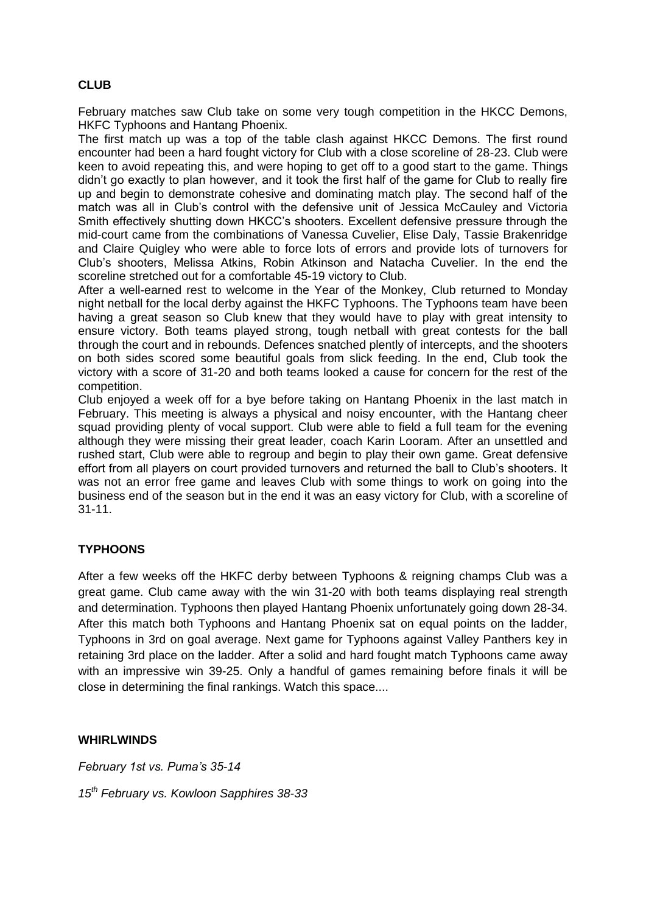# **CLUB**

February matches saw Club take on some very tough competition in the HKCC Demons, HKFC Typhoons and Hantang Phoenix.

The first match up was a top of the table clash against HKCC Demons. The first round encounter had been a hard fought victory for Club with a close scoreline of 28-23. Club were keen to avoid repeating this, and were hoping to get off to a good start to the game. Things didn't go exactly to plan however, and it took the first half of the game for Club to really fire up and begin to demonstrate cohesive and dominating match play. The second half of the match was all in Club's control with the defensive unit of Jessica McCauley and Victoria Smith effectively shutting down HKCC's shooters. Excellent defensive pressure through the mid-court came from the combinations of Vanessa Cuvelier, Elise Daly, Tassie Brakenridge and Claire Quigley who were able to force lots of errors and provide lots of turnovers for Club's shooters, Melissa Atkins, Robin Atkinson and Natacha Cuvelier. In the end the scoreline stretched out for a comfortable 45-19 victory to Club.

After a well-earned rest to welcome in the Year of the Monkey, Club returned to Monday night netball for the local derby against the HKFC Typhoons. The Typhoons team have been having a great season so Club knew that they would have to play with great intensity to ensure victory. Both teams played strong, tough netball with great contests for the ball through the court and in rebounds. Defences snatched plently of intercepts, and the shooters on both sides scored some beautiful goals from slick feeding. In the end, Club took the victory with a score of 31-20 and both teams looked a cause for concern for the rest of the competition.

Club enjoyed a week off for a bye before taking on Hantang Phoenix in the last match in February. This meeting is always a physical and noisy encounter, with the Hantang cheer squad providing plenty of vocal support. Club were able to field a full team for the evening although they were missing their great leader, coach Karin Looram. After an unsettled and rushed start, Club were able to regroup and begin to play their own game. Great defensive effort from all players on court provided turnovers and returned the ball to Club's shooters. It was not an error free game and leaves Club with some things to work on going into the business end of the season but in the end it was an easy victory for Club, with a scoreline of 31-11.

# **TYPHOONS**

After a few weeks off the HKFC derby between Typhoons & reigning champs Club was a great game. Club came away with the win 31-20 with both teams displaying real strength and determination. Typhoons then played Hantang Phoenix unfortunately going down 28-34. After this match both Typhoons and Hantang Phoenix sat on equal points on the ladder, Typhoons in 3rd on goal average. Next game for Typhoons against Valley Panthers key in retaining 3rd place on the ladder. After a solid and hard fought match Typhoons came away with an impressive win 39-25. Only a handful of games remaining before finals it will be close in determining the final rankings. Watch this space....

# **WHIRLWINDS**

*February 1st vs. Puma's 35-14*

*15th February vs. Kowloon Sapphires 38-33*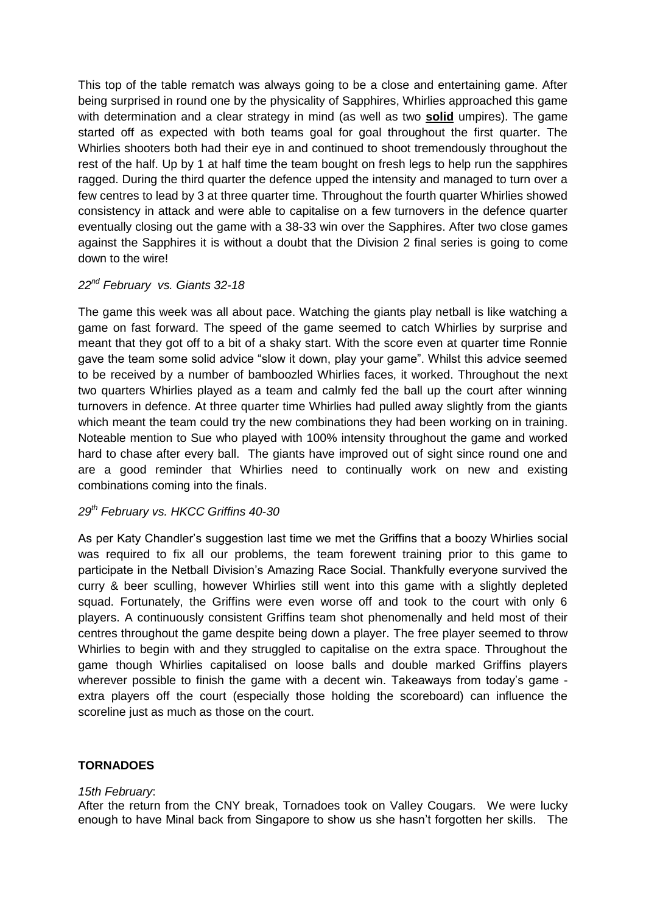This top of the table rematch was always going to be a close and entertaining game. After being surprised in round one by the physicality of Sapphires, Whirlies approached this game with determination and a clear strategy in mind (as well as two **solid** umpires). The game started off as expected with both teams goal for goal throughout the first quarter. The Whirlies shooters both had their eye in and continued to shoot tremendously throughout the rest of the half. Up by 1 at half time the team bought on fresh legs to help run the sapphires ragged. During the third quarter the defence upped the intensity and managed to turn over a few centres to lead by 3 at three quarter time. Throughout the fourth quarter Whirlies showed consistency in attack and were able to capitalise on a few turnovers in the defence quarter eventually closing out the game with a 38-33 win over the Sapphires. After two close games against the Sapphires it is without a doubt that the Division 2 final series is going to come down to the wire!

# *22nd February vs. Giants 32-18*

The game this week was all about pace. Watching the giants play netball is like watching a game on fast forward. The speed of the game seemed to catch Whirlies by surprise and meant that they got off to a bit of a shaky start. With the score even at quarter time Ronnie gave the team some solid advice "slow it down, play your game". Whilst this advice seemed to be received by a number of bamboozled Whirlies faces, it worked. Throughout the next two quarters Whirlies played as a team and calmly fed the ball up the court after winning turnovers in defence. At three quarter time Whirlies had pulled away slightly from the giants which meant the team could try the new combinations they had been working on in training. Noteable mention to Sue who played with 100% intensity throughout the game and worked hard to chase after every ball. The giants have improved out of sight since round one and are a good reminder that Whirlies need to continually work on new and existing combinations coming into the finals.

# *29th February vs. HKCC Griffins 40-30*

As per Katy Chandler's suggestion last time we met the Griffins that a boozy Whirlies social was required to fix all our problems, the team forewent training prior to this game to participate in the Netball Division's Amazing Race Social. Thankfully everyone survived the curry & beer sculling, however Whirlies still went into this game with a slightly depleted squad. Fortunately, the Griffins were even worse off and took to the court with only 6 players. A continuously consistent Griffins team shot phenomenally and held most of their centres throughout the game despite being down a player. The free player seemed to throw Whirlies to begin with and they struggled to capitalise on the extra space. Throughout the game though Whirlies capitalised on loose balls and double marked Griffins players wherever possible to finish the game with a decent win. Takeaways from today's game extra players off the court (especially those holding the scoreboard) can influence the scoreline just as much as those on the court.

# **TORNADOES**

#### *15th February*:

After the return from the CNY break, Tornadoes took on Valley Cougars. We were lucky enough to have Minal back from Singapore to show us she hasn't forgotten her skills. The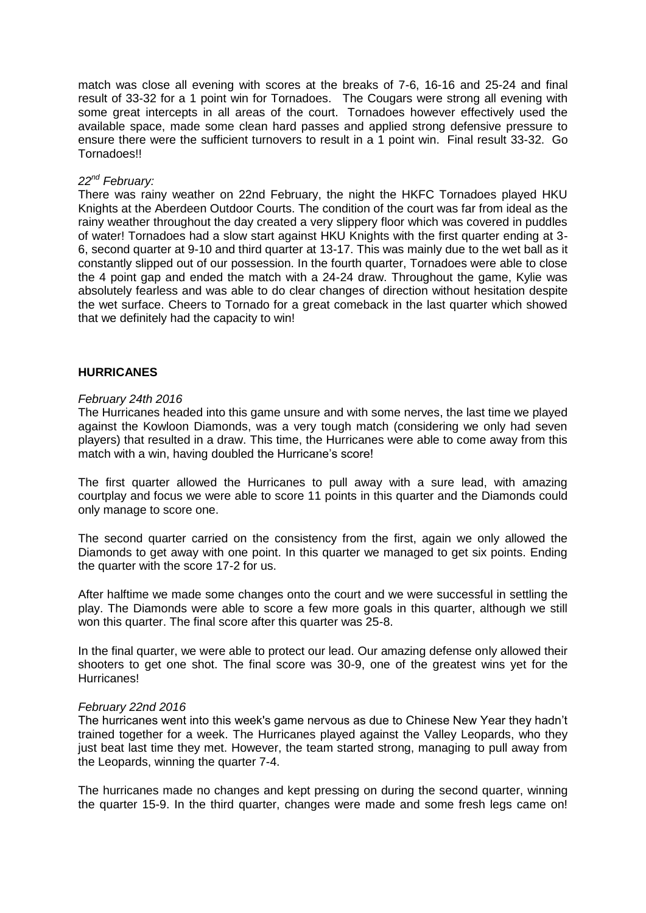match was close all evening with scores at the breaks of 7-6, 16-16 and 25-24 and final result of 33-32 for a 1 point win for Tornadoes. The Cougars were strong all evening with some great intercepts in all areas of the court. Tornadoes however effectively used the available space, made some clean hard passes and applied strong defensive pressure to ensure there were the sufficient turnovers to result in a 1 point win. Final result 33-32. Go Tornadoes!!

#### *22nd February:*

There was rainy weather on 22nd February, the night the HKFC Tornadoes played HKU Knights at the Aberdeen Outdoor Courts. The condition of the court was far from ideal as the rainy weather throughout the day created a very slippery floor which was covered in puddles of water! Tornadoes had a slow start against HKU Knights with the first quarter ending at 3- 6, second quarter at 9-10 and third quarter at 13-17. This was mainly due to the wet ball as it constantly slipped out of our possession. In the fourth quarter, Tornadoes were able to close the 4 point gap and ended the match with a 24-24 draw. Throughout the game, Kylie was absolutely fearless and was able to do clear changes of direction without hesitation despite the wet surface. Cheers to Tornado for a great comeback in the last quarter which showed that we definitely had the capacity to win!

# **HURRICANES**

#### *February 24th 2016*

The Hurricanes headed into this game unsure and with some nerves, the last time we played against the Kowloon Diamonds, was a very tough match (considering we only had seven players) that resulted in a draw. This time, the Hurricanes were able to come away from this match with a win, having doubled the Hurricane's score!

The first quarter allowed the Hurricanes to pull away with a sure lead, with amazing courtplay and focus we were able to score 11 points in this quarter and the Diamonds could only manage to score one.

The second quarter carried on the consistency from the first, again we only allowed the Diamonds to get away with one point. In this quarter we managed to get six points. Ending the quarter with the score 17-2 for us.

After halftime we made some changes onto the court and we were successful in settling the play. The Diamonds were able to score a few more goals in this quarter, although we still won this quarter. The final score after this quarter was 25-8.

In the final quarter, we were able to protect our lead. Our amazing defense only allowed their shooters to get one shot. The final score was 30-9, one of the greatest wins yet for the Hurricanes!

#### *February 22nd 2016*

The hurricanes went into this week's game nervous as due to Chinese New Year they hadn't trained together for a week. The Hurricanes played against the Valley Leopards, who they just beat last time they met. However, the team started strong, managing to pull away from the Leopards, winning the quarter 7-4.

The hurricanes made no changes and kept pressing on during the second quarter, winning the quarter 15-9. In the third quarter, changes were made and some fresh legs came on!